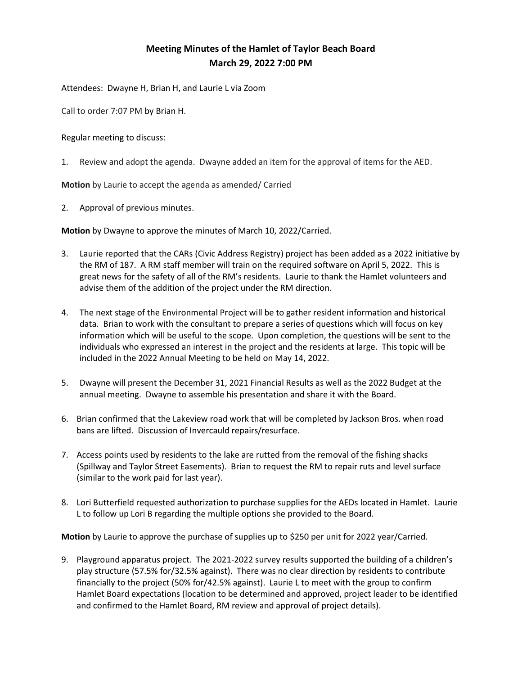## Meeting Minutes of the Hamlet of Taylor Beach Board March 29, 2022 7:00 PM

Attendees: Dwayne H, Brian H, and Laurie L via Zoom

Call to order 7:07 PM by Brian H.

Regular meeting to discuss:

1. Review and adopt the agenda. Dwayne added an item for the approval of items for the AED.

Motion by Laurie to accept the agenda as amended/ Carried

2. Approval of previous minutes.

Motion by Dwayne to approve the minutes of March 10, 2022/Carried.

- 3. Laurie reported that the CARs (Civic Address Registry) project has been added as a 2022 initiative by the RM of 187. A RM staff member will train on the required software on April 5, 2022. This is great news for the safety of all of the RM's residents. Laurie to thank the Hamlet volunteers and advise them of the addition of the project under the RM direction.
- 4. The next stage of the Environmental Project will be to gather resident information and historical data. Brian to work with the consultant to prepare a series of questions which will focus on key information which will be useful to the scope. Upon completion, the questions will be sent to the individuals who expressed an interest in the project and the residents at large. This topic will be included in the 2022 Annual Meeting to be held on May 14, 2022.
- 5. Dwayne will present the December 31, 2021 Financial Results as well as the 2022 Budget at the annual meeting. Dwayne to assemble his presentation and share it with the Board.
- 6. Brian confirmed that the Lakeview road work that will be completed by Jackson Bros. when road bans are lifted. Discussion of Invercauld repairs/resurface.
- 7. Access points used by residents to the lake are rutted from the removal of the fishing shacks (Spillway and Taylor Street Easements). Brian to request the RM to repair ruts and level surface (similar to the work paid for last year).
- 8. Lori Butterfield requested authorization to purchase supplies for the AEDs located in Hamlet. Laurie L to follow up Lori B regarding the multiple options she provided to the Board.

Motion by Laurie to approve the purchase of supplies up to \$250 per unit for 2022 year/Carried.

9. Playground apparatus project. The 2021-2022 survey results supported the building of a children's play structure (57.5% for/32.5% against). There was no clear direction by residents to contribute financially to the project (50% for/42.5% against). Laurie L to meet with the group to confirm Hamlet Board expectations (location to be determined and approved, project leader to be identified and confirmed to the Hamlet Board, RM review and approval of project details).